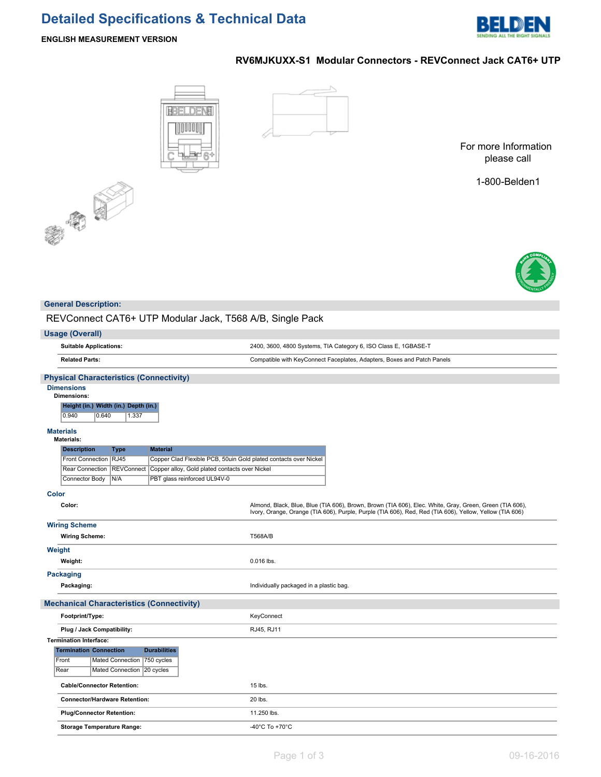# **Detailed Specifications & Technical Data**



#### **ENGLISH MEASUREMENT VERSION**

## **RV6MJKUXX-S1 Modular Connectors - REVConnect Jack CAT6+ UTP**





For more Information please call

1-800-Belden1



#### **General Description:**

REVConnect CAT6+ UTP Modular Jack, T568 A/B, Single Pack

| $511$ $1100$ and $0001$ , $1000$ $100$                                                                     |                                                                                                                                                                                                                    |
|------------------------------------------------------------------------------------------------------------|--------------------------------------------------------------------------------------------------------------------------------------------------------------------------------------------------------------------|
| <b>Usage (Overall)</b>                                                                                     |                                                                                                                                                                                                                    |
| <b>Suitable Applications:</b>                                                                              | 2400, 3600, 4800 Systems, TIA Category 6, ISO Class E, 1GBASE-T                                                                                                                                                    |
| <b>Related Parts:</b>                                                                                      | Compatible with KeyConnect Faceplates, Adapters, Boxes and Patch Panels                                                                                                                                            |
| <b>Physical Characteristics (Connectivity)</b>                                                             |                                                                                                                                                                                                                    |
| <b>Dimensions</b><br><b>Dimensions:</b><br>Height (in.) Width (in.) Depth (in.)<br>0.940<br>0.640<br>1.337 |                                                                                                                                                                                                                    |
| <b>Materials</b><br><b>Materials:</b>                                                                      |                                                                                                                                                                                                                    |
| <b>Description</b><br><b>Material</b><br><b>Type</b>                                                       |                                                                                                                                                                                                                    |
| Front Connection   RJ45<br>Copper Clad Flexible PCB, 50uin Gold plated contacts over Nickel                |                                                                                                                                                                                                                    |
| <b>REVConnect</b><br>Copper alloy, Gold plated contacts over Nickel<br>Rear Connection                     |                                                                                                                                                                                                                    |
| PBT glass reinforced UL94V-0<br>Connector Body<br>N/A                                                      |                                                                                                                                                                                                                    |
| Color                                                                                                      |                                                                                                                                                                                                                    |
| Color:                                                                                                     | Almond, Black, Blue, Blue (TIA 606), Brown, Brown (TIA 606), Elec. White, Gray, Green, Green (TIA 606),<br>Ivory, Orange, Orange (TIA 606), Purple, Purple (TIA 606), Red, Red (TIA 606), Yellow, Yellow (TIA 606) |
| <b>Wiring Scheme</b>                                                                                       |                                                                                                                                                                                                                    |
| <b>Wiring Scheme:</b>                                                                                      | <b>T568A/B</b>                                                                                                                                                                                                     |
| Weight                                                                                                     |                                                                                                                                                                                                                    |
| Weight:                                                                                                    | 0.016 lbs.                                                                                                                                                                                                         |
| <b>Packaging</b>                                                                                           |                                                                                                                                                                                                                    |
| Packaging:                                                                                                 | Individually packaged in a plastic bag.                                                                                                                                                                            |
| <b>Mechanical Characteristics (Connectivity)</b>                                                           |                                                                                                                                                                                                                    |
| Footprint/Type:                                                                                            | KeyConnect                                                                                                                                                                                                         |
| Plug / Jack Compatibility:                                                                                 | RJ45, RJ11                                                                                                                                                                                                         |
| <b>Termination Interface:</b>                                                                              |                                                                                                                                                                                                                    |
| <b>Durabilities</b><br><b>Termination Connection</b>                                                       |                                                                                                                                                                                                                    |
| Mated Connection<br>$750$ cycles<br>Front                                                                  |                                                                                                                                                                                                                    |
| Rear<br>Mated Connection<br>20 cycles                                                                      |                                                                                                                                                                                                                    |
| <b>Cable/Connector Retention:</b>                                                                          | 15 lbs.                                                                                                                                                                                                            |
| <b>Connector/Hardware Retention:</b>                                                                       | 20 lbs.                                                                                                                                                                                                            |
| <b>Plug/Connector Retention:</b>                                                                           | 11.250 lbs.                                                                                                                                                                                                        |
| <b>Storage Temperature Range:</b>                                                                          | -40 $^{\circ}$ C To +70 $^{\circ}$ C                                                                                                                                                                               |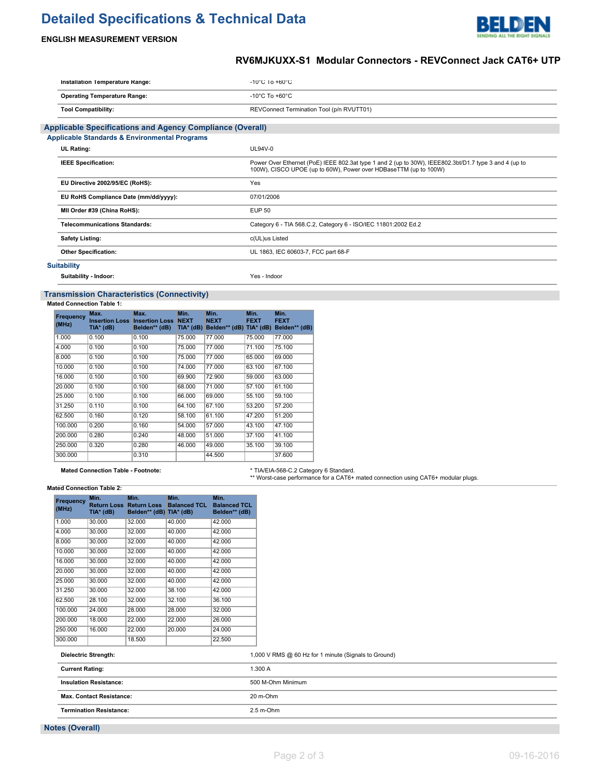# **Detailed Specifications & Technical Data**



### **ENGLISH MEASUREMENT VERSION**

## **RV6MJKUXX-S1 Modular Connectors - REVConnect Jack CAT6+ UTP**

| Installation Temperature Range:                                  | $-10^{\circ}$ C 10 $+60^{\circ}$ C                                                                                                                                        |
|------------------------------------------------------------------|---------------------------------------------------------------------------------------------------------------------------------------------------------------------------|
| <b>Operating Temperature Range:</b>                              | $-10^{\circ}$ C To $+60^{\circ}$ C                                                                                                                                        |
| <b>Tool Compatibility:</b>                                       | REVConnect Termination Tool (p/n RVUTT01)                                                                                                                                 |
| <b>Applicable Specifications and Agency Compliance (Overall)</b> |                                                                                                                                                                           |
| <b>Applicable Standards &amp; Environmental Programs</b>         |                                                                                                                                                                           |
| <b>UL Rating:</b>                                                | UL94V-0                                                                                                                                                                   |
| <b>IEEE Specification:</b>                                       | Power Over Ethernet (PoE) IEEE 802.3at type 1 and 2 (up to 30W), IEEE802.3bt/D1.7 type 3 and 4 (up to<br>100W), CISCO UPOE (up to 60W), Power over HDBaseTTM (up to 100W) |
| EU Directive 2002/95/EC (RoHS):                                  | Yes                                                                                                                                                                       |
| EU RoHS Compliance Date (mm/dd/yyyy):                            | 07/01/2006                                                                                                                                                                |
| MII Order #39 (China RoHS):                                      | <b>EUP 50</b>                                                                                                                                                             |
| <b>Telecommunications Standards:</b>                             | Category 6 - TIA 568.C.2, Category 6 - ISO/IEC 11801:2002 Ed.2                                                                                                            |
| <b>Safety Listing:</b>                                           | c(UL)us Listed                                                                                                                                                            |
| <b>Other Specification:</b>                                      | UL 1863, IEC 60603-7, FCC part 68-F                                                                                                                                       |
| <b>Suitability</b>                                               |                                                                                                                                                                           |

**Suitability - Indoor:** Yes - Indoor

#### **Transmission Characteristics (Connectivity)**

**Mated Connection Table 1:**

| Frequency<br>(MHz) | Max.<br>TIA* (dB) | Max.<br><b>Insertion Loss Insertion Loss</b><br>Belden** (dB) | Min.<br><b>NEXT</b><br>TIA* (dB) | Min.<br><b>NEXT</b><br>Belden** (dB) TIA* (dB) | Min.<br><b>FEXT</b> | Min.<br><b>FEXT</b><br>Belden** (dB) |
|--------------------|-------------------|---------------------------------------------------------------|----------------------------------|------------------------------------------------|---------------------|--------------------------------------|
| 1.000              | 0.100             | 0.100                                                         | 75.000                           | 77.000                                         | 75,000              | 77.000                               |
| 4.000              | 0.100             | 0.100                                                         | 75.000                           | 77.000                                         | 71.100              | 75.100                               |
| 8.000              | 0.100             | 0.100                                                         | 75.000                           | 77.000                                         | 65.000              | 69.000                               |
| 10.000             | 0.100             | 0.100                                                         | 74.000                           | 77.000                                         | 63.100              | 67.100                               |
| 16,000             | 0.100             | 0.100                                                         | 69.900                           | 72.900                                         | 59.000              | 63.000                               |
| 20.000             | 0.100             | 0.100                                                         | 68.000                           | 71.000                                         | 57.100              | 61.100                               |
| 25.000             | 0.100             | 0.100                                                         | 66,000                           | 69,000                                         | 55.100              | 59.100                               |
| 31.250             | 0.110             | 0.100                                                         | 64.100                           | 67.100                                         | 53.200              | 57.200                               |
| 62.500             | 0.160             | 0.120                                                         | 58.100                           | 61.100                                         | 47.200              | 51.200                               |
| 100.000            | 0.200             | 0.160                                                         | 54.000                           | 57.000                                         | 43.100              | 47.100                               |
| 200,000            | 0.280             | 0.240                                                         | 48.000                           | 51.000                                         | 37.100              | 41.100                               |
| 250,000            | 0.320             | 0.280                                                         | 46.000                           | 49.000                                         | 35.100              | 39.100                               |
| 300.000            |                   | 0.310                                                         |                                  | 44.500                                         |                     | 37.600                               |

Mated Connection Table - Footnote: **\* TIA/EIA-568-C.2 Category 6 Standard.**<br>\*\* Worst-case performance for a CAT6+ mated connection using CAT6+ modular plugs.

**Mated Connection Table 2:**

| (MHz)   | TIA* (dB) | <b>Return Loss Return Loss</b><br>Belden** (dB) TIA* (dB) | Min.<br><b>Balanced TCL</b> | Min.<br><b>Balanced TCL</b><br>Belden** (dB) |
|---------|-----------|-----------------------------------------------------------|-----------------------------|----------------------------------------------|
| 1.000   | 30.000    | 32.000                                                    | 40.000                      | 42.000                                       |
| 4.000   | 30.000    | 32.000                                                    | 40.000                      | 42.000                                       |
| 8.000   | 30.000    | 32.000                                                    | 40.000                      | 42.000                                       |
| 10.000  | 30.000    | 32.000                                                    | 40.000                      | 42.000                                       |
| 16.000  | 30.000    | 32.000                                                    | 40.000                      | 42.000                                       |
| 20.000  | 30.000    | 32.000                                                    | 40.000                      | 42.000                                       |
| 25.000  | 30.000    | 32.000                                                    | 40.000                      | 42.000                                       |
| 31.250  | 30.000    | 32.000                                                    | 38.100                      | 42.000                                       |
| 62.500  | 28.100    | 32.000                                                    | 32.100                      | 36.100                                       |
| 100.000 | 24.000    | 28.000                                                    | 28.000                      | 32.000                                       |
| 200.000 | 18.000    | 22.000                                                    | 22.000                      | 26.000                                       |
| 250.000 | 16.000    | 22.000                                                    | 20.000                      | 24.000                                       |
| 300.000 |           | 18.500                                                    |                             | 22.500                                       |

| <b>Dielectric Strength:</b>     | 1,000 V RMS @ 60 Hz for 1 minute (Signals to Ground) |
|---------------------------------|------------------------------------------------------|
| <b>Current Rating:</b>          | 1.300 A                                              |
| <b>Insulation Resistance:</b>   | 500 M-Ohm Minimum                                    |
| <b>Max. Contact Resistance:</b> | 20 m-Ohm                                             |
| <b>Termination Resistance:</b>  | $2.5$ m-Ohm                                          |

**Notes (Overall)**